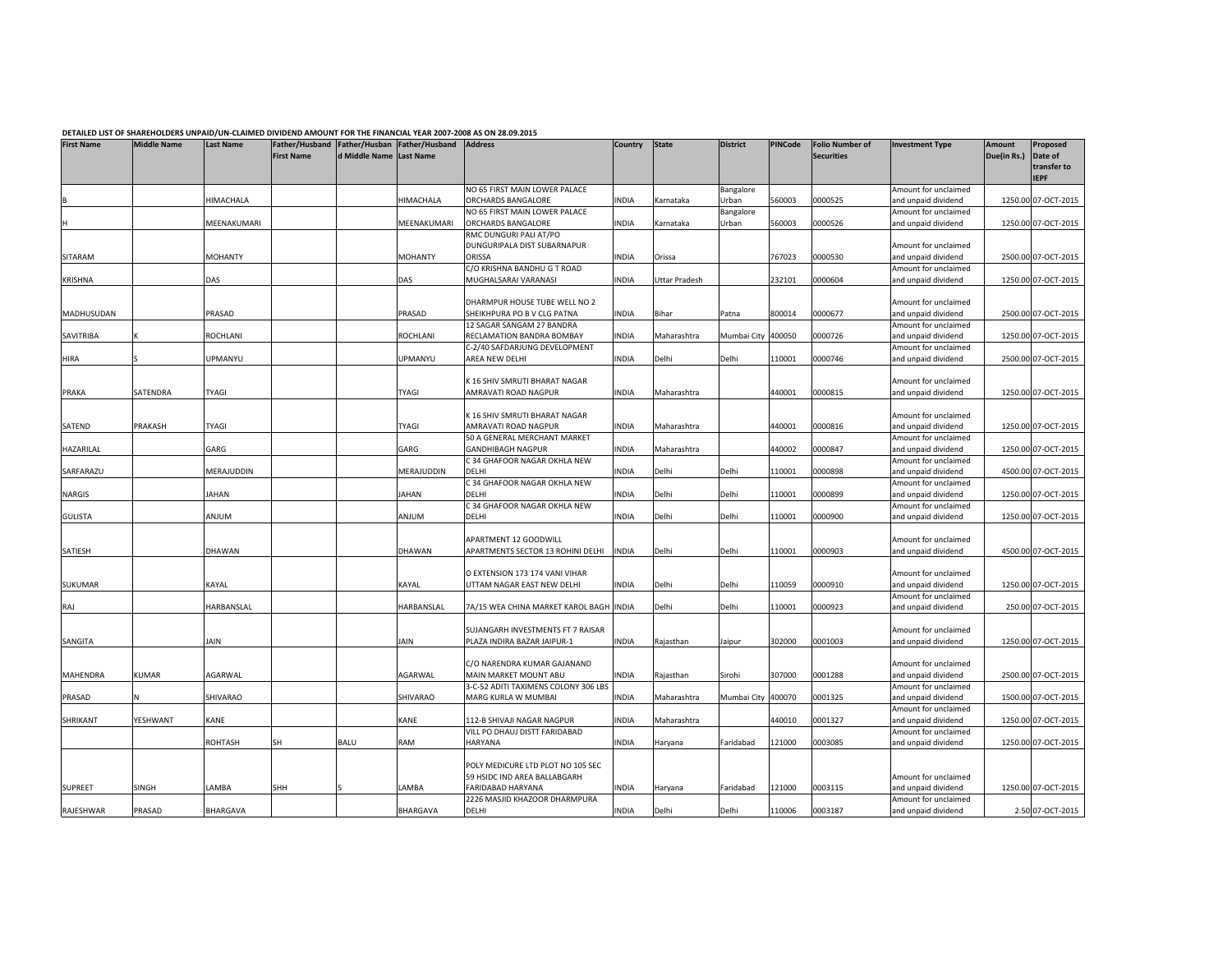|                   |                    |                  |                   |               |                                                                         | DETAILLD LIST OF SHAKEHOLDEKS UNFAID/UN-CLAIMED DIVIDEND AMOUNT FOR THE FINANCIAL TEAK 2007-2006 AS ON 26.03.2013 |             |               | <b>District</b>    |                |                                             |                                             |                              |                            |
|-------------------|--------------------|------------------|-------------------|---------------|-------------------------------------------------------------------------|-------------------------------------------------------------------------------------------------------------------|-------------|---------------|--------------------|----------------|---------------------------------------------|---------------------------------------------|------------------------------|----------------------------|
| <b>First Name</b> | <b>Middle Name</b> | <b>Last Name</b> | <b>First Name</b> | d Middle Name | Father/Husband Father/Husban Father/Husband Address<br><b>Last Name</b> |                                                                                                                   | Country     | <b>State</b>  |                    | <b>PINCode</b> | <b>Folio Number of</b><br><b>Securities</b> | <b>Investment Type</b>                      | <b>Amount</b><br>Due(in Rs.) | Proposed<br>Date of        |
|                   |                    |                  |                   |               |                                                                         |                                                                                                                   |             |               |                    |                |                                             |                                             |                              | transfer to<br><b>IEPF</b> |
|                   |                    |                  |                   |               |                                                                         | NO 65 FIRST MAIN LOWER PALACE                                                                                     |             |               | Bangalore          |                |                                             | Amount for unclaimed                        |                              |                            |
|                   |                    | HIMACHALA        |                   |               | HIMACHALA                                                               | ORCHARDS BANGALORE                                                                                                | INDIA       | Karnataka     | Urban              | 560003         | 0000525                                     | and unpaid dividend                         |                              | 1250.00 07-OCT-2015        |
|                   |                    |                  |                   |               |                                                                         | NO 65 FIRST MAIN LOWER PALACE                                                                                     |             |               | Bangalore          |                |                                             | Amount for unclaimed                        |                              |                            |
|                   |                    | MEENAKUMARI      |                   |               | MEENAKUMARI                                                             | ORCHARDS BANGALORE                                                                                                | INDIA       | Karnataka     | Urban              | 560003         | 0000526                                     | and unpaid dividend                         |                              | 1250.00 07-OCT-2015        |
|                   |                    |                  |                   |               |                                                                         | RMC DUNGURI PALI AT/PO                                                                                            |             |               |                    |                |                                             |                                             |                              |                            |
|                   |                    |                  |                   |               |                                                                         | DUNGURIPALA DIST SUBARNAPUR                                                                                       |             |               |                    |                |                                             | Amount for unclaimed                        |                              |                            |
| SITARAM           |                    | MOHANTY          |                   |               | <b>MOHANTY</b>                                                          | ORISSA                                                                                                            | INDIA       | Orissa        |                    | 767023         | 0000530                                     | and unpaid dividend                         |                              | 2500.00 07-OCT-2015        |
|                   |                    |                  |                   |               |                                                                         | C/O KRISHNA BANDHU G T ROAD                                                                                       |             |               |                    |                |                                             | Amount for unclaimed                        |                              |                            |
| <b>KRISHNA</b>    |                    | DAS              |                   |               | DAS                                                                     | MUGHALSARAI VARANASI                                                                                              | <b>NDIA</b> | Uttar Pradesh |                    | 232101         | 0000604                                     | and unpaid dividend                         |                              | 1250.00 07-OCT-2015        |
|                   |                    |                  |                   |               |                                                                         |                                                                                                                   |             |               |                    |                |                                             |                                             |                              |                            |
|                   |                    |                  |                   |               |                                                                         | DHARMPUR HOUSE TUBE WELL NO 2                                                                                     |             |               |                    |                |                                             | Amount for unclaimed                        |                              |                            |
| MADHUSUDAN        |                    | PRASAD           |                   |               | PRASAD                                                                  | SHEIKHPURA PO B V CLG PATNA                                                                                       | INDIA       | Bihar         | Patna              | 800014         | 0000677                                     | and unpaid dividend                         |                              | 2500.00 07-OCT-2015        |
|                   |                    |                  |                   |               |                                                                         | 12 SAGAR SANGAM 27 BANDRA                                                                                         |             |               |                    |                |                                             | Amount for unclaimed                        |                              |                            |
| SAVITRIBA         |                    | ROCHLANI         |                   |               | ROCHLANI                                                                | RECLAMATION BANDRA BOMBAY                                                                                         | INDIA       | Maharashtra   | Mumbai City        | 400050         | 0000726                                     | and unpaid dividend                         |                              | 1250.00 07-OCT-2015        |
|                   |                    |                  |                   |               |                                                                         | C-2/40 SAFDARJUNG DEVELOPMENT                                                                                     |             |               |                    |                |                                             | Amount for unclaimed                        |                              |                            |
| <b>HIRA</b>       |                    | <b>JPMANYU</b>   |                   |               | JPMANYU                                                                 | AREA NEW DELHI                                                                                                    | INDIA       | Delhi         | Delhi              | 10001          | 0000746                                     | and unpaid dividend                         |                              | 2500.00 07-OCT-2015        |
|                   |                    |                  |                   |               |                                                                         |                                                                                                                   |             |               |                    |                |                                             |                                             |                              |                            |
|                   |                    |                  |                   |               |                                                                         | K 16 SHIV SMRUTI BHARAT NAGAR                                                                                     |             |               |                    |                |                                             | Amount for unclaimed                        |                              |                            |
| <b>PRAKA</b>      | SATENDRA           | TYAGI            |                   |               | TYAGI                                                                   | AMRAVATI ROAD NAGPUR                                                                                              | INDIA       | Maharashtra   |                    | 440001         | 0000815                                     | and unpaid dividend                         |                              | 1250.00 07-OCT-2015        |
|                   |                    |                  |                   |               |                                                                         |                                                                                                                   |             |               |                    |                |                                             |                                             |                              |                            |
|                   |                    |                  |                   |               |                                                                         | K 16 SHIV SMRUTI BHARAT NAGAR                                                                                     |             |               |                    |                |                                             | Amount for unclaimed                        |                              |                            |
| SATEND            | <b>PRAKASH</b>     | TYAGI            |                   |               | TYAGI                                                                   | AMRAVATI ROAD NAGPUR                                                                                              | INDIA       | Maharashtra   |                    | 440001         | 0000816                                     | and unpaid dividend                         |                              | 1250.00 07-OCT-2015        |
|                   |                    |                  |                   |               |                                                                         | 50 A GENERAL MERCHANT MARKET                                                                                      |             |               |                    |                |                                             | Amount for unclaimed                        |                              |                            |
| HAZARILAL         |                    | GARG             |                   |               | GARG                                                                    | <b>GANDHIBAGH NAGPUR</b>                                                                                          | INDIA       | Maharashtra   |                    | 440002         | 0000847                                     | and unpaid dividend                         |                              | 1250.00 07-OCT-2015        |
|                   |                    |                  |                   |               |                                                                         | C 34 GHAFOOR NAGAR OKHLA NEW                                                                                      |             |               |                    |                |                                             | Amount for unclaimed                        |                              |                            |
| SARFARAZU         |                    | MERAJUDDIN       |                   |               | MERAJUDDIN                                                              | DELHI                                                                                                             | <b>NDIA</b> | Delhi         | Delhi              | 10001          | 0000898                                     | and unpaid dividend                         |                              | 4500.00 07-OCT-2015        |
|                   |                    |                  |                   |               |                                                                         | C 34 GHAFOOR NAGAR OKHLA NEW                                                                                      |             |               |                    |                |                                             | Amount for unclaimed                        |                              |                            |
| NARGIS            |                    | <b>AHAN</b>      |                   |               | JAHAN                                                                   | DELHI                                                                                                             | <b>NDIA</b> | Delhi         | Delhi              | 10001          | 0000899                                     | and unpaid dividend                         |                              | 1250.00 07-OCT-2015        |
|                   |                    |                  |                   |               |                                                                         | C 34 GHAFOOR NAGAR OKHLA NEW                                                                                      |             |               |                    |                |                                             | Amount for unclaimed                        |                              |                            |
| <b>GULISTA</b>    |                    | MULIA            |                   |               | MULIA                                                                   | DELHI                                                                                                             | INDIA       | Delhi         | Delhi              | 10001          | 0000900                                     | and unpaid dividend                         |                              | 1250.00 07-OCT-2015        |
|                   |                    |                  |                   |               |                                                                         |                                                                                                                   |             |               |                    |                |                                             |                                             |                              |                            |
|                   |                    |                  |                   |               |                                                                         | APARTMENT 12 GOODWILL                                                                                             |             |               |                    |                |                                             | Amount for unclaimed                        |                              |                            |
| SATIESH           |                    | DHAWAN           |                   |               | <b>DHAWAN</b>                                                           | APARTMENTS SECTOR 13 ROHINI DELHI                                                                                 | INDIA       | Delhi         | Delhi              | 110001         | 0000903                                     | and unpaid dividend                         |                              | 4500.00 07-OCT-2015        |
|                   |                    |                  |                   |               |                                                                         |                                                                                                                   |             |               |                    |                |                                             |                                             |                              |                            |
|                   |                    |                  |                   |               |                                                                         | O EXTENSION 173 174 VANI VIHAR                                                                                    |             |               |                    |                |                                             | Amount for unclaimed                        |                              |                            |
| SUKUMAR           |                    | KAYAL            |                   |               | <b>KAYAL</b>                                                            | UTTAM NAGAR EAST NEW DELHI                                                                                        | INDIA       | Delhi         | Delhi              | 110059         | 0000910                                     | and unpaid dividend                         |                              | 1250.00 07-OCT-2015        |
|                   |                    |                  |                   |               |                                                                         |                                                                                                                   |             |               |                    |                |                                             | Amount for unclaimed                        |                              |                            |
| <b>RAJ</b>        |                    | HARBANSLAL       |                   |               | <b>HARBANSLAL</b>                                                       | 7A/15 WEA CHINA MARKET KAROL BAGH INDIA                                                                           |             | Delhi         | Delhi              | 110001         | 0000923                                     | and unpaid dividend                         |                              | 250.00 07-OCT-2015         |
|                   |                    |                  |                   |               |                                                                         |                                                                                                                   |             |               |                    |                |                                             |                                             |                              |                            |
|                   |                    |                  |                   |               |                                                                         | SUJANGARH INVESTMENTS FT 7 RAISAR                                                                                 |             |               |                    |                |                                             | Amount for unclaimed                        |                              |                            |
| SANGITA           |                    | JAIN             |                   |               | AIN                                                                     | PLAZA INDIRA BAZAR JAIPUR-1                                                                                       | INDIA       | Rajasthan     | Jaipur             | 302000         | 0001003                                     | and unpaid dividend                         |                              | 1250.00 07-OCT-2015        |
|                   |                    |                  |                   |               |                                                                         |                                                                                                                   |             |               |                    |                |                                             |                                             |                              |                            |
|                   |                    |                  |                   |               |                                                                         | C/O NARENDRA KUMAR GAJANAND                                                                                       |             |               |                    |                |                                             | Amount for unclaimed                        |                              |                            |
| MAHENDRA          | KUMAR              | AGARWAL          |                   |               | AGARWAL                                                                 | MAIN MARKET MOUNT ABU                                                                                             | INDIA       | Rajasthan     | Sirohi             | 307000         | 0001288                                     | and unpaid dividend                         |                              | 2500.00 07-OCT-2015        |
|                   |                    |                  |                   |               |                                                                         | 3-C-52 ADITI TAXIMENS COLONY 306 LBS                                                                              |             |               |                    |                |                                             | Amount for unclaimed                        |                              |                            |
| PRASAD            |                    | SHIVARAO         |                   |               | SHIVARAO                                                                | MARG KURLA W MUMBAI                                                                                               | INDIA       | Maharashtra   | Mumbai City 400070 |                | 0001325                                     | and unpaid dividend                         |                              | 1500.00 07-OCT-2015        |
|                   |                    | KANE             |                   |               |                                                                         |                                                                                                                   |             |               |                    | 440010         |                                             | Amount for unclaimed                        |                              |                            |
| SHRIKANT          | YESHWANT           |                  |                   |               | KANE                                                                    | 112-B SHIVAJI NAGAR NAGPUR<br>VILL PO DHAUJ DISTT FARIDABAD                                                       | INDIA       | Maharashtra   |                    |                | 0001327                                     | and unpaid dividend<br>Amount for unclaimed |                              | 1250.00 07-OCT-2015        |
|                   |                    | ROHTASH          | SH                | BALU          | RAM                                                                     | HARYANA                                                                                                           | INDIA       | Haryana       | Faridabad          | 121000         | 0003085                                     | and unpaid dividend                         |                              | 1250.00 07-OCT-2015        |
|                   |                    |                  |                   |               |                                                                         |                                                                                                                   |             |               |                    |                |                                             |                                             |                              |                            |
|                   |                    |                  |                   |               |                                                                         | POLY MEDICURE LTD PLOT NO 105 SEC                                                                                 |             |               |                    |                |                                             |                                             |                              |                            |
|                   |                    |                  |                   |               |                                                                         | 59 HSIDC IND AREA BALLABGARH                                                                                      |             |               |                    |                |                                             | Amount for unclaimed                        |                              |                            |
| <b>SUPREET</b>    | SINGH              | LAMBA            | SHH               |               | AMBA                                                                    | FARIDABAD HARYANA                                                                                                 | NDIA        | Haryana       | Faridabad          | 121000         | 0003115                                     | and unpaid dividend                         |                              | 1250.00 07-OCT-2015        |
|                   |                    |                  |                   |               |                                                                         | 2226 MASJID KHAZOOR DHARMPURA                                                                                     |             |               |                    |                |                                             | Amount for unclaimed                        |                              |                            |
| RAJESHWAR         | PRASAD             | <b>BHARGAVA</b>  |                   |               | BHARGAVA                                                                | DELHI                                                                                                             | INDIA       | Delhi         | Delhi              | 110006         | 0003187                                     | and unpaid dividend                         |                              | 2.50 07-OCT-2015           |
|                   |                    |                  |                   |               |                                                                         |                                                                                                                   |             |               |                    |                |                                             |                                             |                              |                            |

DETAILED LIST OF SHAREHOLDERS UNPAID/UN-CLAIMED DIVIDEND AMOUNT FOR THE FINANCIAL YEAR 2007-2008 AS ON 28.09.2015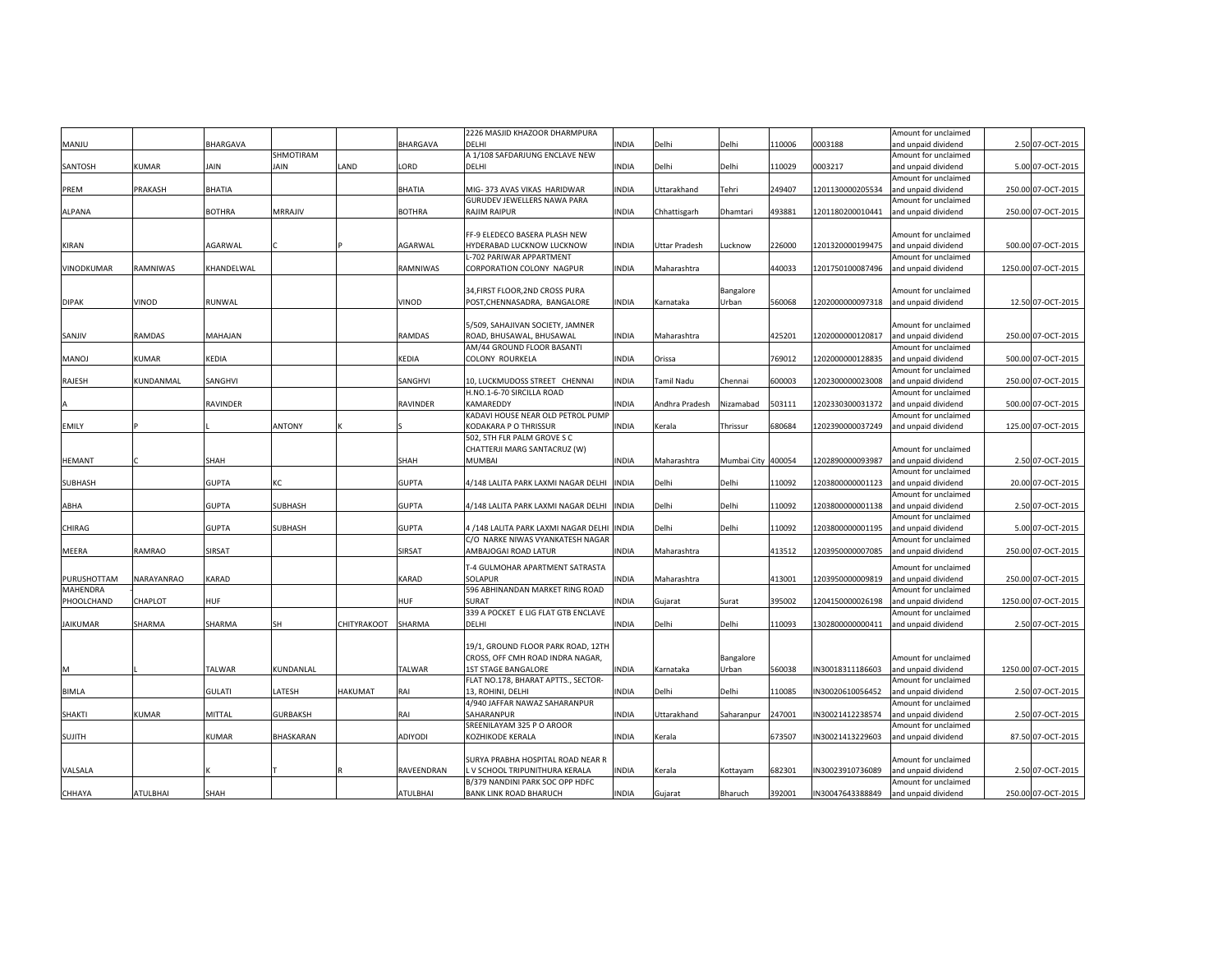|                 |               |                 |                 |             |                 | 2226 MASJID KHAZOOR DHARMPURA        |              |                    |                    |        |                  | Amount for unclaimed |                     |
|-----------------|---------------|-----------------|-----------------|-------------|-----------------|--------------------------------------|--------------|--------------------|--------------------|--------|------------------|----------------------|---------------------|
| MANJU           |               | <b>BHARGAVA</b> |                 |             | BHARGAVA        | DELHI                                | INDIA        | Delhi              | Delhi              | 110006 | 0003188          | and unpaid dividend  | 2.50 07-OCT-2015    |
|                 |               |                 | SHMOTIRAM       |             |                 | A 1/108 SAFDARJUNG ENCLAVE NEW       |              |                    |                    |        |                  | Amount for unclaimed |                     |
| SANTOSH         | <b>KUMAR</b>  | <b>AIN</b>      | JAIN            | LAND        | LORD            | DELHI                                | INDIA        | Delhi              | Delhi              | 110029 | 0003217          | and unpaid dividend  | 5.00 07-OCT-2015    |
|                 |               |                 |                 |             |                 |                                      |              |                    |                    |        |                  | Amount for unclaimed |                     |
| PREM            | PRAKASH       | BHATIA          |                 |             | <b>BHATIA</b>   | MIG- 373 AVAS VIKAS HARIDWAR         | INDIA        | Uttarakhand        | Tehri              | 249407 | 1201130000205534 | and unpaid dividend  | 250.00 07-OCT-2015  |
|                 |               |                 |                 |             |                 | GURUDEV JEWELLERS NAWA PARA          |              |                    |                    |        |                  | Amount for unclaimed |                     |
| ALPANA          |               | BOTHRA          | MRRAJIV         |             | BOTHRA          | RAJIM RAIPUR                         | INDIA        | Chhattisgarh       | Dhamtari           | 493881 | 1201180200010441 | and unpaid dividend  | 250.00 07-OCT-2015  |
|                 |               |                 |                 |             |                 |                                      |              |                    |                    |        |                  |                      |                     |
|                 |               |                 |                 |             |                 | FF-9 ELEDECO BASERA PLASH NEW        |              |                    |                    |        |                  | Amount for unclaimed |                     |
| KIRAN           |               | AGARWAL         |                 |             | AGARWAL         | HYDERABAD LUCKNOW LUCKNOW            | INDIA        | Jttar Pradesh      | ucknow.            | 226000 | 1201320000199475 | and unpaid dividend  | 500.00 07-OCT-2015  |
|                 |               |                 |                 |             |                 | L-702 PARIWAR APPARTMENT             |              |                    |                    |        |                  | Amount for unclaimed |                     |
| VINODKUMAR      | RAMNIWAS      | KHANDELWAL      |                 |             | RAMNIWAS        | CORPORATION COLONY NAGPUR            | INDIA        | Maharashtra        |                    | 440033 | 1201750100087496 | and unpaid dividend  | 1250.00 07-OCT-2015 |
|                 |               |                 |                 |             |                 |                                      |              |                    |                    |        |                  |                      |                     |
|                 |               |                 |                 |             |                 | 34, FIRST FLOOR, 2ND CROSS PURA      |              |                    | Bangalore          |        |                  | Amount for unclaimed |                     |
| <b>DIPAK</b>    | VINOD         | RUNWAL          |                 |             | VINOD           | POST, CHENNASADRA, BANGALORE         | INDIA        | Karnataka          | Urban              | 560068 | 1202000000097318 | and unpaid dividend  | 12.50 07-OCT-2015   |
|                 |               |                 |                 |             |                 |                                      |              |                    |                    |        |                  |                      |                     |
|                 |               |                 |                 |             |                 | 5/509, SAHAJIVAN SOCIETY, JAMNER     |              |                    |                    |        |                  | Amount for unclaimed |                     |
| SANJIV          | <b>RAMDAS</b> | MAHAJAN         |                 |             | <b>RAMDAS</b>   | ROAD, BHUSAWAL, BHUSAWAL             | INDIA        | Maharashtra        |                    | 425201 | 1202000000120817 | and unpaid dividend  | 250.00 07-OCT-2015  |
|                 |               |                 |                 |             |                 | AM/44 GROUND FLOOR BASANTI           |              |                    |                    |        |                  | Amount for unclaimed |                     |
| MANOJ           | KUMAR         | KEDIA           |                 |             | KEDIA           | COLONY ROURKELA                      | INDIA        | Orissa             |                    | 769012 | 1202000000128835 | and unpaid dividend  | 500.00 07-OCT-2015  |
|                 |               |                 |                 |             |                 |                                      |              |                    |                    |        |                  | Amount for unclaimed |                     |
| RAJESH          | KUNDANMAL     | SANGHVI         |                 |             | SANGHVI         | 10. LUCKMUDOSS STREET CHENNAI        | <b>NDIA</b>  | <b>Tamil Nadu</b>  | Chennai            | 600003 | 1202300000023008 | and unpaid dividend  | 250.00 07-OCT-2015  |
|                 |               |                 |                 |             |                 | H.NO.1-6-70 SIRCILLA ROAD            |              |                    |                    |        |                  | Amount for unclaimed |                     |
|                 |               | RAVINDER        |                 |             | RAVINDER        | KAMAREDDY                            | <b>NDIA</b>  | Andhra Pradesh     | Nizamabad          | 503111 | 1202330300031372 | and unpaid dividend  | 500.00 07-OCT-2015  |
|                 |               |                 |                 |             |                 | KADAVI HOUSE NEAR OLD PETROL PUMP    |              |                    |                    |        |                  | Amount for unclaimed |                     |
| EMILY           |               |                 | <b>ANTONY</b>   |             |                 | KODAKARA P O THRISSUR                | INDIA        | Kerala             | Thrissur           | 680684 | 1202390000037249 | and unpaid dividend  | 125.00 07-OCT-2015  |
|                 |               |                 |                 |             |                 | 502. 5TH FLR PALM GROVE S C          |              |                    |                    |        |                  |                      |                     |
|                 |               |                 |                 |             |                 | CHATTERJI MARG SANTACRUZ (W)         |              |                    |                    |        |                  | Amount for unclaimed |                     |
| HEMANT          |               | SHAH            |                 |             | SHAH            | <b>MUMBAI</b>                        | <b>NDIA</b>  | Maharashtra        |                    |        | 1202890000093987 | and unpaid dividend  |                     |
|                 |               |                 |                 |             |                 |                                      |              |                    | Mumbai City 400054 |        |                  |                      | 2.50 07-OCT-2015    |
|                 |               |                 |                 |             |                 |                                      |              |                    |                    |        |                  | Amount for unclaimed |                     |
| SUBHASH         |               | <b>GUPTA</b>    | КC              |             | <b>GUPTA</b>    | 4/148 LALITA PARK LAXMI NAGAR DELHI  | <b>INDIA</b> | Delhi              | Delhi              | 110092 | 1203800000001123 | and unpaid dividend  | 20.00 07-OCT-2015   |
|                 |               |                 |                 |             |                 |                                      |              |                    |                    |        |                  | Amount for unclaimed |                     |
| ABHA            |               | <b>GUPTA</b>    | SUBHASH         |             | <b>GUPTA</b>    | 4/148 LALITA PARK LAXMI NAGAR DELHI  | INDIA        | Delhi              | Delhi              | 110092 | 1203800000001138 | and unpaid dividend  | 2.50 07-OCT-2015    |
|                 |               |                 |                 |             |                 |                                      |              |                    |                    |        |                  | Amount for unclaimed |                     |
| CHIRAG          |               | <b>GUPTA</b>    | <b>SUBHASH</b>  |             | <b>GUPTA</b>    | 4 /148 LALITA PARK LAXMI NAGAR DELHI | <b>INDIA</b> | Delhi              | Delhi              | 110092 | 1203800000001195 | and unpaid dividend  | 5.00 07-OCT-2015    |
|                 |               |                 |                 |             |                 | C/O NARKE NIWAS VYANKATESH NAGAR     |              |                    |                    |        |                  | Amount for unclaimed |                     |
| MEERA           | RAMRAO        | SIRSAT          |                 |             | SIRSAT          | AMBAJOGAI ROAD LATUR                 | <b>NDIA</b>  | Maharashtra        |                    | 413512 | 1203950000007085 | and unpaid dividend  | 250.00 07-OCT-2015  |
|                 |               |                 |                 |             |                 | T-4 GULMOHAR APARTMENT SATRASTA      |              |                    |                    |        |                  | Amount for unclaimed |                     |
| PURUSHOTTAM     | NARAYANRAO    | KARAD           |                 |             | KARAD           | SOLAPUR                              | <b>NDIA</b>  | Maharashtra        |                    | 413001 | 1203950000009819 | and unpaid dividend  | 250.00 07-OCT-2015  |
| <b>MAHENDRA</b> |               |                 |                 |             |                 | 596 ABHINANDAN MARKET RING ROAD      |              |                    |                    |        |                  | Amount for unclaimed |                     |
| PHOOLCHAND      | CHAPLOT       | HUF             |                 |             | HUF             | SURAT                                | INDIA        | Gujarat            | Surat              | 395002 | 1204150000026198 | and unpaid dividend  | 1250.00 07-OCT-2015 |
|                 |               |                 |                 |             |                 | 339 A POCKET E LIG FLAT GTB ENCLAVE  |              |                    |                    |        |                  | Amount for unclaimed |                     |
| <b>JAIKUMAR</b> | SHARMA        | SHARMA          | <b>SH</b>       | CHITYRAKOOT | SHARMA          | DELHI                                | INDIA        | Delhi              | Delhi              | 110093 | 1302800000000411 | and unpaid dividend  | 2.50 07-OCT-2015    |
|                 |               |                 |                 |             |                 |                                      |              |                    |                    |        |                  |                      |                     |
|                 |               |                 |                 |             |                 | 19/1, GROUND FLOOR PARK ROAD, 12TH   |              |                    |                    |        |                  |                      |                     |
|                 |               |                 |                 |             |                 | CROSS, OFF CMH ROAD INDRA NAGAR,     |              |                    |                    |        |                  | Amount for unclaimed |                     |
|                 |               | TALWAR          | KUNDANLAL       |             | TALWAR          | <b>1ST STAGE BANGALORE</b>           |              |                    | Bangalore          | 560038 | IN30018311186603 |                      | 1250.00 07-OCT-2015 |
| M               |               |                 |                 |             |                 |                                      | INDIA        | Karnataka          | Urban              |        |                  | and unpaid dividend  |                     |
|                 |               |                 |                 |             |                 | FLAT NO.178, BHARAT APTTS., SECTOR-  |              |                    |                    |        |                  | Amount for unclaimed |                     |
| <b>BIMLA</b>    |               | <b>GULATI</b>   | LATESH          | HAKUMAT     | RAI             | 13, ROHINI, DELHI                    | INDIA        | Delhi              | Delhi              | 110085 | N30020610056452  | and unpaid dividend  | 2.50 07-OCT-2015    |
|                 |               |                 |                 |             |                 | 4/940 JAFFAR NAWAZ SAHARANPUR        |              |                    |                    |        |                  | Amount for unclaimed |                     |
| SHAKTI          | <b>KUMAR</b>  | MITTAL          | <b>GURBAKSH</b> |             | RAI             | SAHARANPUR                           | INDIA        | <b>Uttarakhand</b> | Saharanpur         | 247001 | N30021412238574  | and unpaid dividend  | 2.50 07-OCT-2015    |
|                 |               |                 |                 |             |                 | SREENILAYAM 325 P O AROOR            |              |                    |                    |        |                  | Amount for unclaimed |                     |
| SUJITH          |               | <b>KUMAR</b>    | BHASKARAN       |             | <b>ADIYODI</b>  | KOZHIKODE KERALA                     | INDIA        | Kerala             |                    | 673507 | IN30021413229603 | and unpaid dividend  | 87.50 07-OCT-2015   |
|                 |               |                 |                 |             |                 |                                      |              |                    |                    |        |                  |                      |                     |
|                 |               |                 |                 |             |                 | SURYA PRABHA HOSPITAL ROAD NEAR R    |              |                    |                    |        |                  | Amount for unclaimed |                     |
| VALSALA         |               |                 |                 |             | RAVEENDRAN      | V SCHOOL TRIPUNITHURA KERALA         | INDIA        | Kerala             | Kottayam           | 682301 | IN30023910736089 | and unpaid dividend  | 2.50 07-OCT-2015    |
|                 |               |                 |                 |             |                 | B/379 NANDINI PARK SOC OPP HDFC      |              |                    |                    |        |                  | Amount for unclaimed |                     |
| CHHAYA          | ATULBHAI      | SHAH            |                 |             | <b>ATULBHAI</b> | <b>BANK LINK ROAD BHARUCH</b>        | INDIA        | Gujarat            | Bharuch            | 392001 | IN30047643388849 | and unpaid dividend  | 250.00 07-OCT-2015  |